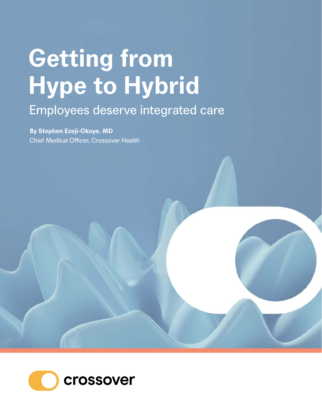# **Getting from Hype to Hybrid** Employees deserve integrated care

**By Stephen Ezeji-Okoye, MD** Chief Medical Officer, Crossover Health

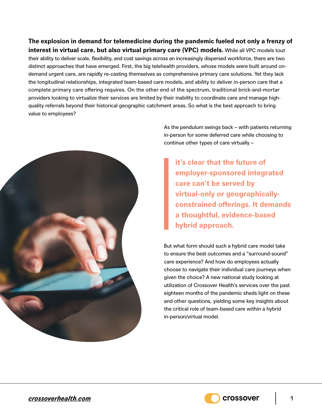**The explosion in demand for telemedicine during the pandemic fueled not only a frenzy of interest in virtual care, but also virtual primary care (VPC) models.** While all VPC models tout their ability to deliver scale, flexibility, and cost savings across an increasingly dispersed workforce, there are two distinct approaches that have emerged. First, the big telehealth providers, whose models were built around ondemand urgent care, are rapidly re-casting themselves as comprehensive primary care solutions. Yet they lack the longitudinal relationships, integrated team-based care models, and ability to deliver in-person care that a complete primary care offering requires. On the other end of the spectrum, traditional brick-and-mortar providers looking to virtualize their services are limited by their inability to coordinate care and manage highquality referrals beyond their historical geographic catchment areas. So what is the best approach to bring value to employees?



As the pendulum swings back – with patients returning in-person for some deferred care while choosing to continue other types of care virtually –

**it's clear that the future of employer-sponsored integrated care can't be served by virtual-only or geographicallyconstrained offerings. It demands a thoughtful, evidence-based hybrid approach.**

But what form should such a hybrid care model take to ensure the best outcomes and a "surround-sound" care experience? And how do employees actually choose to navigate their individual care journeys when given the choice? A new national study looking at utilization of Crossover Health's services over the past eighteen months of the pandemic sheds light on these and other questions, yielding some key insights about the critical role of team-based care within a hybrid in-person/virtual model.

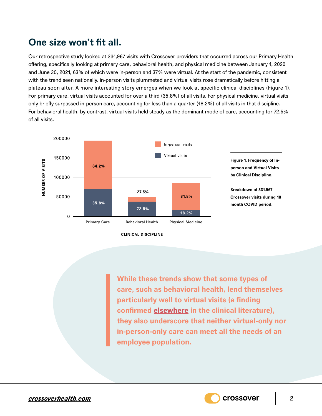# **One size won't fit all.**

Our retrospective study looked at 331,967 visits with Crossover providers that occurred across our Primary Health offering, specifically looking at primary care, behavioral health, and physical medicine between January 1, 2020 and June 30, 2021, 63% of which were in-person and 37% were virtual. At the start of the pandemic, consistent with the trend seen nationally, in-person visits plummeted and virtual visits rose dramatically before hitting a plateau soon after. A more interesting story emerges when we look at specific clinical disciplines (Figure 1). For primary care, virtual visits accounted for over a third (35.8%) of all visits. For physical medicine, virtual visits only briefly surpassed in-person care, accounting for less than a quarter (18.2%) of all visits in that discipline. For behavioral health, by contrast, virtual visits held steady as the dominant mode of care, accounting for 72.5% of all visits.



**While these trends show that some types of care, such as behavioral health, lend themselves particularly well to virtual visits (a finding confirmed [elsewhere](https://pubmed.ncbi.nlm.nih.gov/32628116/) in the clinical literature), they also underscore that neither virtual-only nor in-person-only care can meet all the needs of an employee population.**

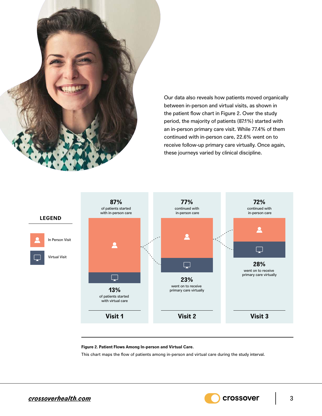

Our data also reveals how patients moved organically between in-person and virtual visits, as shown in the patient flow chart in Figure 2. Over the study period, the majority of patients (87.1%) started with an in-person primary care visit. While 77.4% of them continued with in-person care, 22.6% went on to receive follow-up primary care virtually. Once again, these journeys varied by clinical discipline.



#### **Figure 2. Patient Flows Among In-person and Virtual Care.**

This chart maps the flow of patients among in-person and virtual care during the study interval.

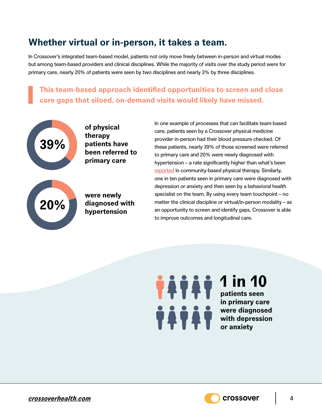### **Whether virtual or in-person, it takes a team.**

In Crossover's integrated team-based model, patients not only move freely between in-person and virtual modes but among team-based providers and clinical disciplines. While the majority of visits over the study period were for primary care, nearly 20% of patients were seen by two disciplines and nearly 3% by three disciplines.

**This team-based approach identified opportunities to screen and close care gaps that siloed, on-demand visits would likely have missed.**



**of physical therapy patients have been referred to primary care**



**were newly diagnosed with hypertension**

In one example of processes that can facilitate team-based care, patients seen by a Crossover physical medicine provider in-person had their blood pressure checked. Of these patients, nearly 39% of those screened were referred to primary care and 20% were newly diagnosed with hypertension – a rate significantly higher than what's been [reported](https://journals.lww.com/cptj/Abstract/2016/07000/Heart_Rate_and_Blood_Pressure_Assessment_by.4.aspx) in community-based physical therapy. Similarly, one in ten patients seen in primary care were diagnosed with depression or anxiety and then seen by a behavioral health specialist on the team. By using every team touchpoint – no matter the clinical discipline or virtual/in-person modality – as an opportunity to screen and identify gaps, Crossover is able to improve outcomes and longitudinal care.

**1 in 10 patients seen in primary care were diagnosed with depression or anxiety**

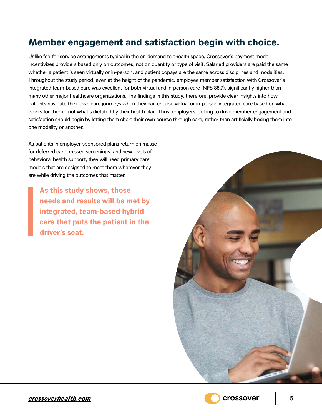## **Member engagement and satisfaction begin with choice.**

Unlike fee-for-service arrangements typical in the on-demand telehealth space, Crossover's payment model incentivizes providers based only on outcomes, not on quantity or type of visit. Salaried providers are paid the same whether a patient is seen virtually or in-person, and patient copays are the same across disciplines and modalities. Throughout the study period, even at the height of the pandemic, employee member satisfaction with Crossover's integrated team-based care was excellent for both virtual and in-person care (NPS 88.7), significantly higher than many other major healthcare organizations. The findings in this study, therefore, provide clear insights into how patients navigate their own care journeys when they can choose virtual or in-person integrated care based on what works for them – not what's dictated by their health plan. Thus, employers looking to drive member engagement and satisfaction should begin by letting them chart their own course through care, rather than artificially boxing them into one modality or another.

As patients in employer-sponsored plans return en masse for deferred care, missed screenings, and new levels of behavioral health support, they will need primary care models that are designed to meet them wherever they are while driving the outcomes that matter.

**As this study shows, those needs and results will be met by integrated, team-based hybrid care that puts the patient in the driver's seat.**





*[crossoverhealth.com](https://crossoverhealth.com/)* 5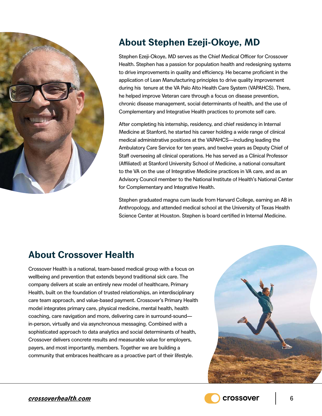

# **About Stephen Ezeji-Okoye, MD**

Stephen Ezeji-Okoye, MD serves as the Chief Medical Officer for Crossover Health. Stephen has a passion for population health and redesigning systems to drive improvements in quality and efficiency. He became proficient in the application of Lean Manufacturing principles to drive quality improvement during his tenure at the VA Palo Alto Health Care System (VAPAHCS). There, he helped improve Veteran care through a focus on disease prevention, chronic disease management, social determinants of health, and the use of Complementary and Integrative Health practices to promote self care.

After completing his internship, residency, and chief residency in Internal Medicine at Stanford, he started his career holding a wide range of clinical medical administrative positions at the VAPAHCS—including leading the Ambulatory Care Service for ten years, and twelve years as Deputy Chief of Staff overseeing all clinical operations. He has served as a Clinical Professor (Affiliated) at Stanford University School of Medicine, a national consultant to the VA on the use of Integrative Medicine practices in VA care, and as an Advisory Council member to the National Institute of Health's National Center for Complementary and Integrative Health.

Stephen graduated magna cum laude from Harvard College, earning an AB in Anthropology, and attended medical school at the University of Texas Health Science Center at Houston. Stephen is board certified in Internal Medicine.

# **About Crossover Health**

Crossover Health is a national, team-based medical group with a focus on wellbeing and prevention that extends beyond traditional sick care. The company delivers at scale an entirely new model of healthcare, Primary Health, built on the foundation of trusted relationships, an interdisciplinary care team approach, and value-based payment. Crossover's Primary Health model integrates primary care, physical medicine, mental health, health coaching, care navigation and more, delivering care in surround-sound in-person, virtually and via asynchronous messaging. Combined with a sophisticated approach to data analytics and social determinants of health, Crossover delivers concrete results and measurable value for employers, payers, and most importantly, members. Together we are building a community that embraces healthcare as a proactive part of their lifestyle.